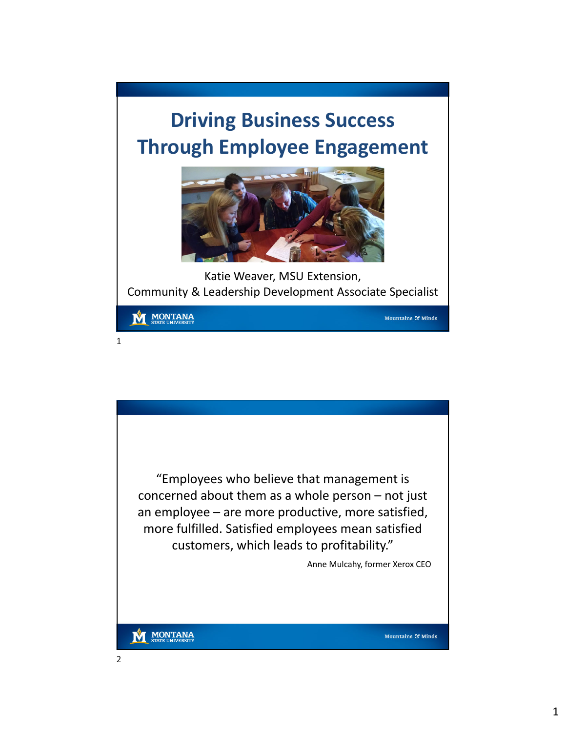## **Driving Business Success Through Employee Engagement**



Katie Weaver, MSU Extension, Community & Leadership Development Associate Specialist

**MONTANA** 

1

Mountains & Minds



Mountains & Minds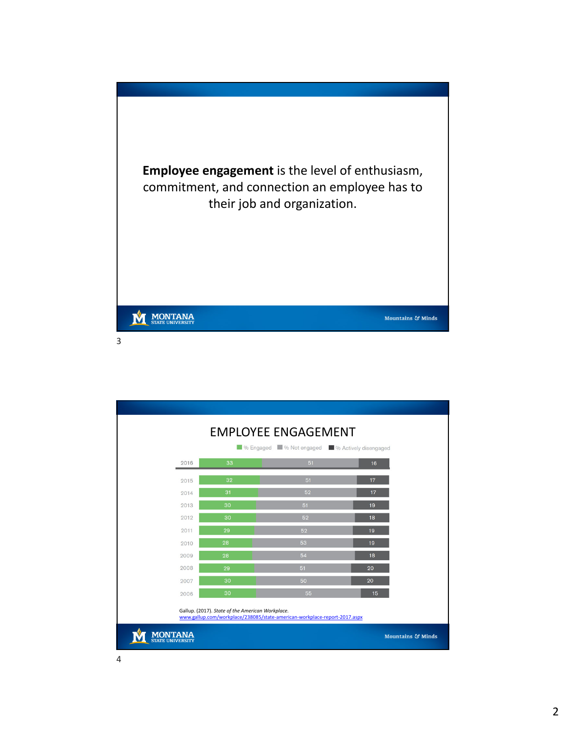

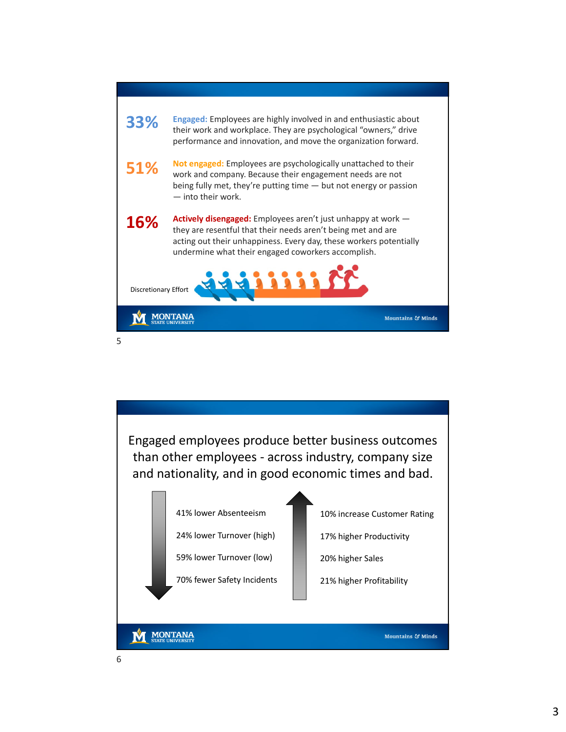

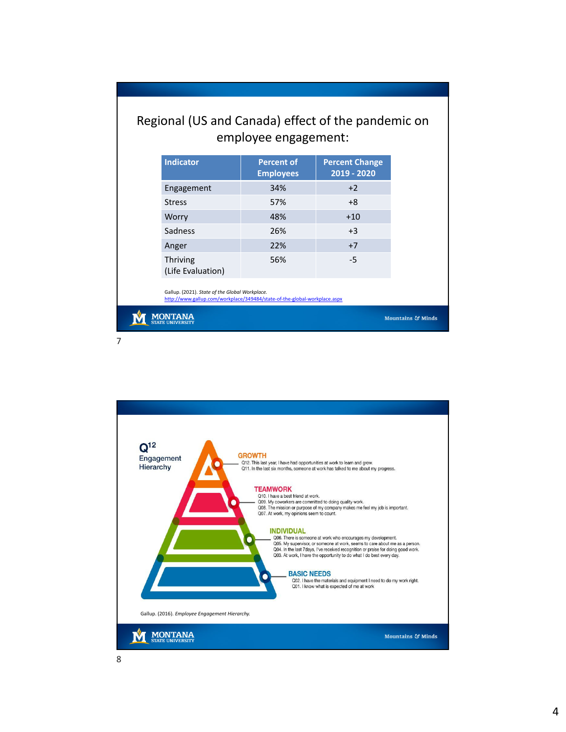## Regional (US and Canada) effect of the pandemic on employee engagement:

| <b>Indicator</b>                     | <b>Percent of</b><br><b>Employees</b> | <b>Percent Change</b><br>2019 - 2020 |
|--------------------------------------|---------------------------------------|--------------------------------------|
| Engagement                           | 34%                                   | $+2$                                 |
| <b>Stress</b>                        | 57%                                   | $+8$                                 |
| Worry                                | 48%                                   | $+10$                                |
| Sadness                              | 26%                                   | $+3$                                 |
| Anger                                | 22%                                   | $+7$                                 |
| <b>Thriving</b><br>(Life Evaluation) | 56%                                   | $-5$                                 |

Gallup. (2021). *State of the Global Workplace.* http://www.gallup.com/workplace/349484/state-of-the-global-workplace.aspx

**M** MONTANA

7

Mountains & Minds

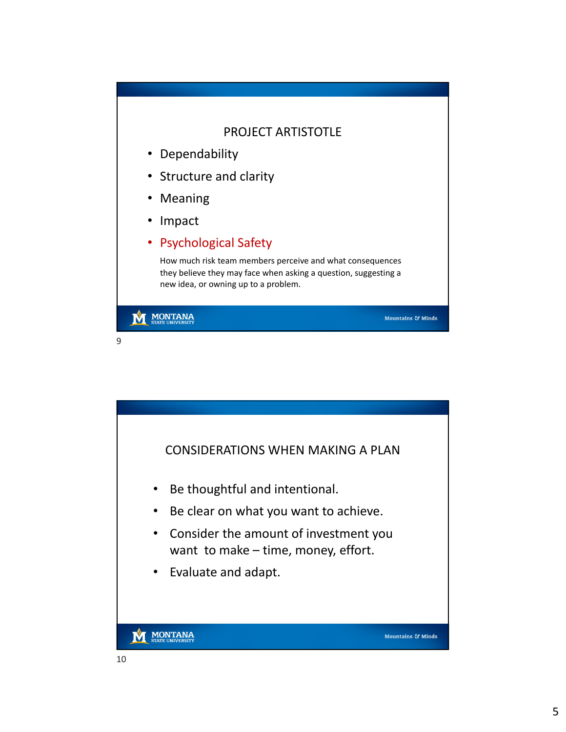## PROJECT ARTISTOTLE

- Dependability
- Structure and clarity
- Meaning
- Impact
- Psychological Safety

How much risk team members perceive and what consequences they believe they may face when asking a question, suggesting a new idea, or owning up to a problem.

Mountains & Minds

## **MONTANA** M

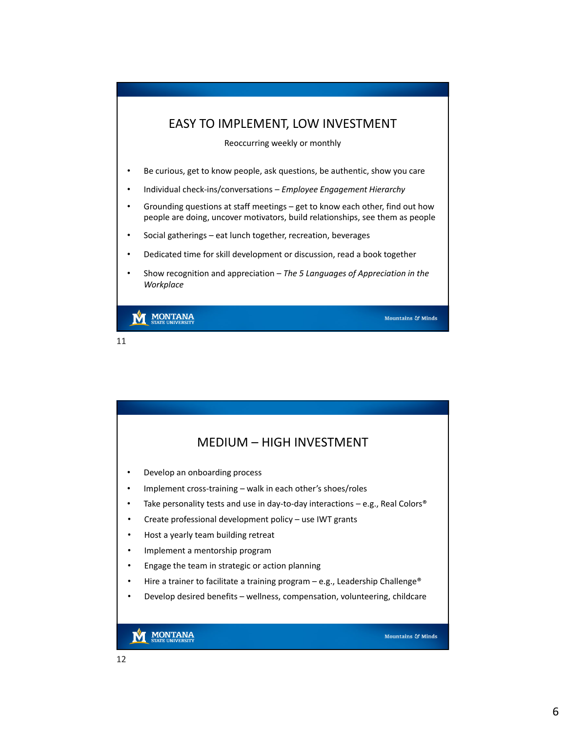